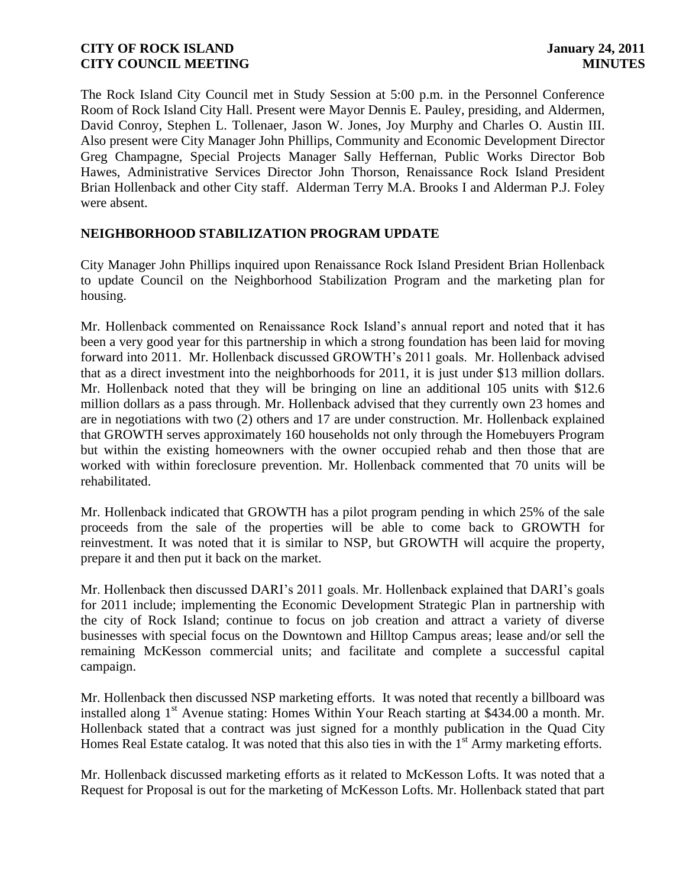The Rock Island City Council met in Study Session at 5:00 p.m. in the Personnel Conference Room of Rock Island City Hall. Present were Mayor Dennis E. Pauley, presiding, and Aldermen, David Conroy, Stephen L. Tollenaer, Jason W. Jones, Joy Murphy and Charles O. Austin III. Also present were City Manager John Phillips, Community and Economic Development Director Greg Champagne, Special Projects Manager Sally Heffernan, Public Works Director Bob Hawes, Administrative Services Director John Thorson, Renaissance Rock Island President Brian Hollenback and other City staff. Alderman Terry M.A. Brooks I and Alderman P.J. Foley were absent.

# **NEIGHBORHOOD STABILIZATION PROGRAM UPDATE**

City Manager John Phillips inquired upon Renaissance Rock Island President Brian Hollenback to update Council on the Neighborhood Stabilization Program and the marketing plan for housing.

Mr. Hollenback commented on Renaissance Rock Island's annual report and noted that it has been a very good year for this partnership in which a strong foundation has been laid for moving forward into 2011. Mr. Hollenback discussed GROWTH's 2011 goals. Mr. Hollenback advised that as a direct investment into the neighborhoods for 2011, it is just under \$13 million dollars. Mr. Hollenback noted that they will be bringing on line an additional 105 units with \$12.6 million dollars as a pass through. Mr. Hollenback advised that they currently own 23 homes and are in negotiations with two (2) others and 17 are under construction. Mr. Hollenback explained that GROWTH serves approximately 160 households not only through the Homebuyers Program but within the existing homeowners with the owner occupied rehab and then those that are worked with within foreclosure prevention. Mr. Hollenback commented that 70 units will be rehabilitated.

Mr. Hollenback indicated that GROWTH has a pilot program pending in which 25% of the sale proceeds from the sale of the properties will be able to come back to GROWTH for reinvestment. It was noted that it is similar to NSP, but GROWTH will acquire the property, prepare it and then put it back on the market.

Mr. Hollenback then discussed DARI's 2011 goals. Mr. Hollenback explained that DARI's goals for 2011 include; implementing the Economic Development Strategic Plan in partnership with the city of Rock Island; continue to focus on job creation and attract a variety of diverse businesses with special focus on the Downtown and Hilltop Campus areas; lease and/or sell the remaining McKesson commercial units; and facilitate and complete a successful capital campaign.

Mr. Hollenback then discussed NSP marketing efforts. It was noted that recently a billboard was installed along  $1<sup>st</sup>$  Avenue stating: Homes Within Your Reach starting at \$434.00 a month. Mr. Hollenback stated that a contract was just signed for a monthly publication in the Quad City Homes Real Estate catalog. It was noted that this also ties in with the 1<sup>st</sup> Army marketing efforts.

Mr. Hollenback discussed marketing efforts as it related to McKesson Lofts. It was noted that a Request for Proposal is out for the marketing of McKesson Lofts. Mr. Hollenback stated that part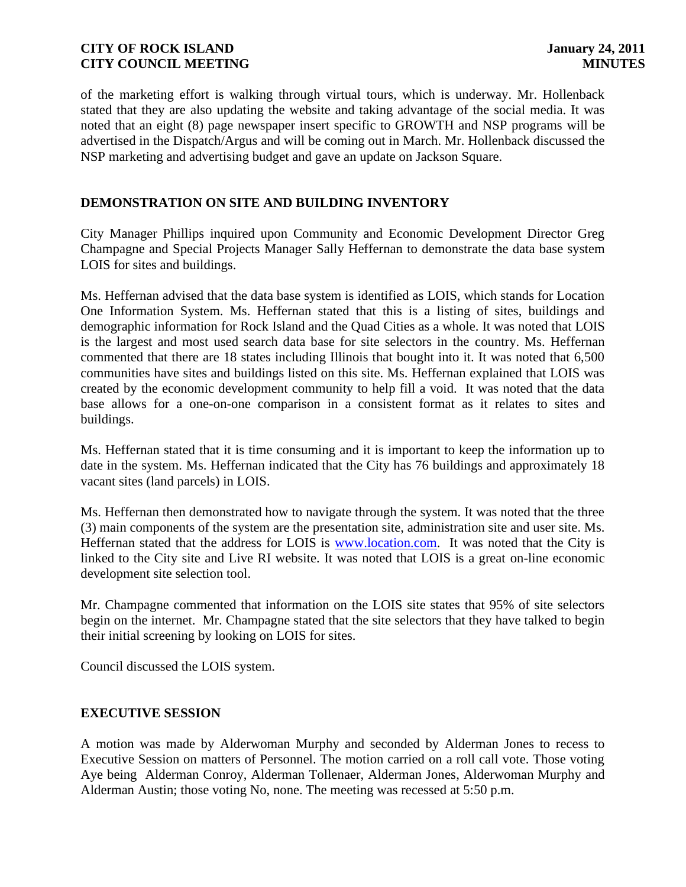of the marketing effort is walking through virtual tours, which is underway. Mr. Hollenback stated that they are also updating the website and taking advantage of the social media. It was noted that an eight (8) page newspaper insert specific to GROWTH and NSP programs will be advertised in the Dispatch/Argus and will be coming out in March. Mr. Hollenback discussed the NSP marketing and advertising budget and gave an update on Jackson Square.

# **DEMONSTRATION ON SITE AND BUILDING INVENTORY**

City Manager Phillips inquired upon Community and Economic Development Director Greg Champagne and Special Projects Manager Sally Heffernan to demonstrate the data base system LOIS for sites and buildings.

Ms. Heffernan advised that the data base system is identified as LOIS, which stands for Location One Information System. Ms. Heffernan stated that this is a listing of sites, buildings and demographic information for Rock Island and the Quad Cities as a whole. It was noted that LOIS is the largest and most used search data base for site selectors in the country. Ms. Heffernan commented that there are 18 states including Illinois that bought into it. It was noted that 6,500 communities have sites and buildings listed on this site. Ms. Heffernan explained that LOIS was created by the economic development community to help fill a void. It was noted that the data base allows for a one-on-one comparison in a consistent format as it relates to sites and buildings.

Ms. Heffernan stated that it is time consuming and it is important to keep the information up to date in the system. Ms. Heffernan indicated that the City has 76 buildings and approximately 18 vacant sites (land parcels) in LOIS.

Ms. Heffernan then demonstrated how to navigate through the system. It was noted that the three (3) main components of the system are the presentation site, administration site and user site. Ms. Heffernan stated that the address for LOIS is [www.location.com.](http://www.location.com/) It was noted that the City is linked to the City site and Live RI website. It was noted that LOIS is a great on-line economic development site selection tool.

Mr. Champagne commented that information on the LOIS site states that 95% of site selectors begin on the internet. Mr. Champagne stated that the site selectors that they have talked to begin their initial screening by looking on LOIS for sites.

Council discussed the LOIS system.

### **EXECUTIVE SESSION**

A motion was made by Alderwoman Murphy and seconded by Alderman Jones to recess to Executive Session on matters of Personnel. The motion carried on a roll call vote. Those voting Aye being Alderman Conroy, Alderman Tollenaer, Alderman Jones, Alderwoman Murphy and Alderman Austin; those voting No, none. The meeting was recessed at 5:50 p.m.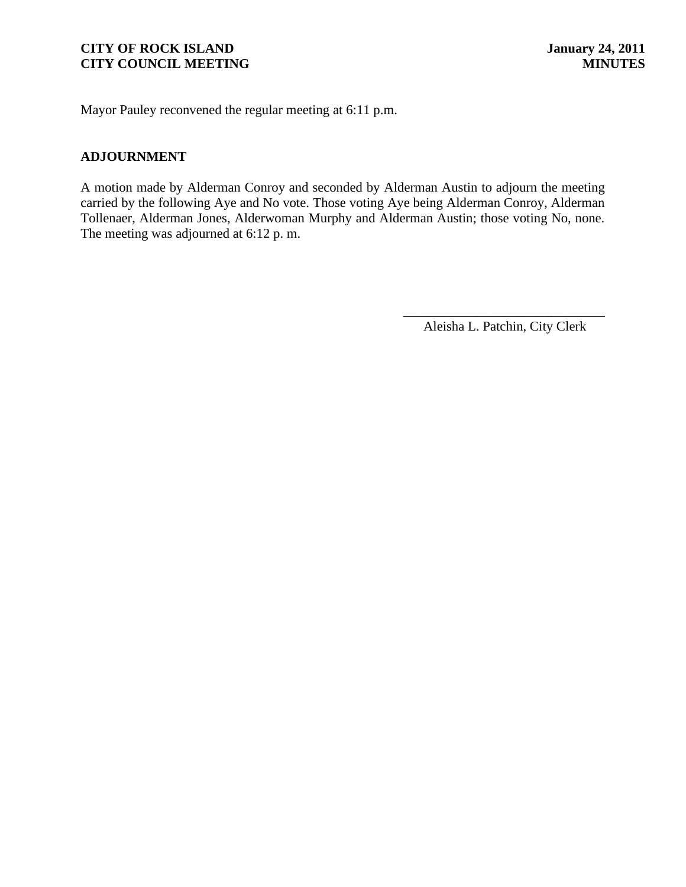Mayor Pauley reconvened the regular meeting at 6:11 p.m.

### **ADJOURNMENT**

A motion made by Alderman Conroy and seconded by Alderman Austin to adjourn the meeting carried by the following Aye and No vote. Those voting Aye being Alderman Conroy, Alderman Tollenaer, Alderman Jones, Alderwoman Murphy and Alderman Austin; those voting No, none. The meeting was adjourned at 6:12 p. m.

> \_\_\_\_\_\_\_\_\_\_\_\_\_\_\_\_\_\_\_\_\_\_\_\_\_\_\_\_\_\_ Aleisha L. Patchin, City Clerk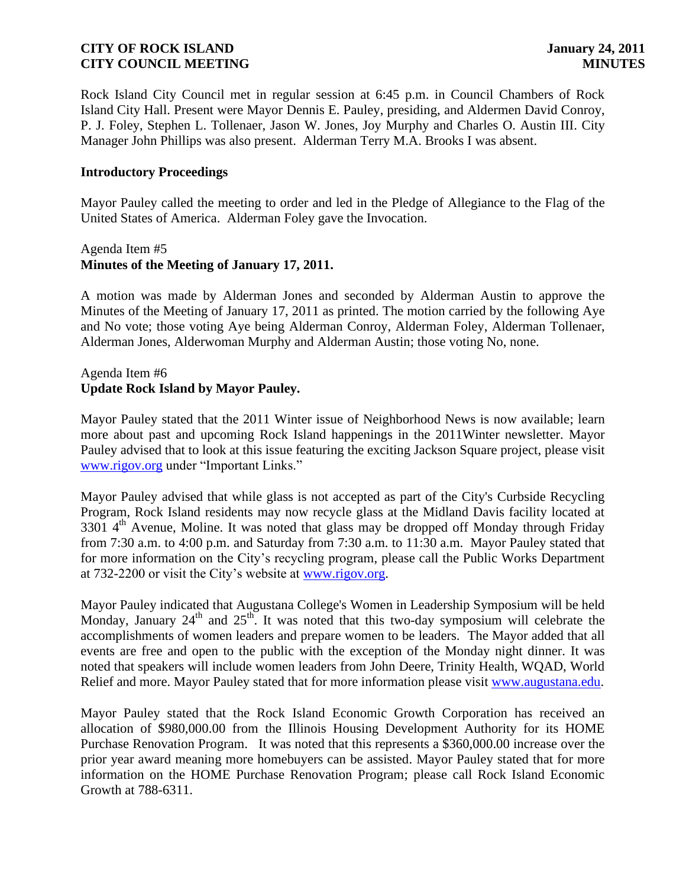Rock Island City Council met in regular session at 6:45 p.m. in Council Chambers of Rock Island City Hall. Present were Mayor Dennis E. Pauley, presiding, and Aldermen David Conroy, P. J. Foley, Stephen L. Tollenaer, Jason W. Jones, Joy Murphy and Charles O. Austin III. City Manager John Phillips was also present. Alderman Terry M.A. Brooks I was absent.

### **Introductory Proceedings**

Mayor Pauley called the meeting to order and led in the Pledge of Allegiance to the Flag of the United States of America. Alderman Foley gave the Invocation.

#### Agenda Item #5 **Minutes of the Meeting of January 17, 2011.**

A motion was made by Alderman Jones and seconded by Alderman Austin to approve the Minutes of the Meeting of January 17, 2011 as printed. The motion carried by the following Aye and No vote; those voting Aye being Alderman Conroy, Alderman Foley, Alderman Tollenaer, Alderman Jones, Alderwoman Murphy and Alderman Austin; those voting No, none.

# Agenda Item #6 **Update Rock Island by Mayor Pauley.**

Mayor Pauley stated that the 2011 Winter issue of Neighborhood News is now available; learn more about past and upcoming Rock Island happenings in the 2011Winter newsletter. Mayor Pauley advised that to look at this issue featuring the exciting Jackson Square project, please visit [www.rigov.org](http://www.rigov.org/) under "Important Links."

Mayor Pauley advised that while glass is not accepted as part of the City's Curbside Recycling Program, Rock Island residents may now recycle glass at the Midland Davis facility located at 3301 4th Avenue, Moline. It was noted that glass may be dropped off Monday through Friday from 7:30 a.m. to 4:00 p.m. and Saturday from 7:30 a.m. to 11:30 a.m. Mayor Pauley stated that for more information on the City's recycling program, please call the Public Works Department at 732-2200 or visit the City's website at [www.rigov.org.](http://www.rigov.org/)

Mayor Pauley indicated that Augustana College's Women in Leadership Symposium will be held Monday, January  $24<sup>th</sup>$  and  $25<sup>th</sup>$ . It was noted that this two-day symposium will celebrate the accomplishments of women leaders and prepare women to be leaders. The Mayor added that all events are free and open to the public with the exception of the Monday night dinner. It was noted that speakers will include women leaders from John Deere, Trinity Health, WQAD, World Relief and more. Mayor Pauley stated that for more information please visit [www.augustana.edu.](http://www.augustana.edu/)

Mayor Pauley stated that the Rock Island Economic Growth Corporation has received an allocation of \$980,000.00 from the Illinois Housing Development Authority for its HOME Purchase Renovation Program. It was noted that this represents a \$360,000.00 increase over the prior year award meaning more homebuyers can be assisted. Mayor Pauley stated that for more information on the HOME Purchase Renovation Program; please call Rock Island Economic Growth at 788-6311.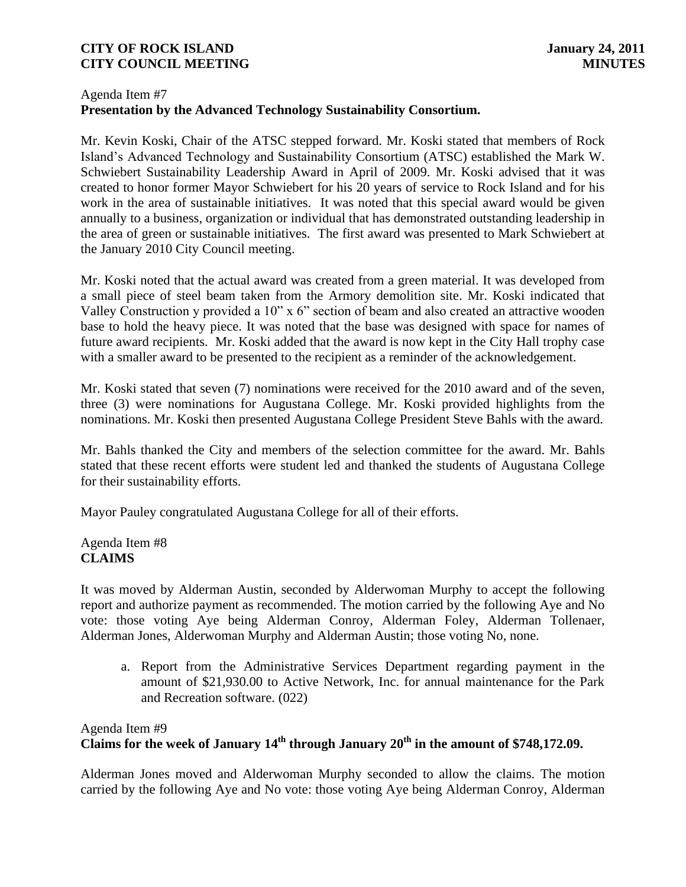# Agenda Item #7 **Presentation by the Advanced Technology Sustainability Consortium.**

Mr. Kevin Koski, Chair of the ATSC stepped forward. Mr. Koski stated that members of Rock Island's Advanced Technology and Sustainability Consortium (ATSC) established the Mark W. Schwiebert Sustainability Leadership Award in April of 2009. Mr. Koski advised that it was created to honor former Mayor Schwiebert for his 20 years of service to Rock Island and for his work in the area of sustainable initiatives. It was noted that this special award would be given annually to a business, organization or individual that has demonstrated outstanding leadership in the area of green or sustainable initiatives. The first award was presented to Mark Schwiebert at the January 2010 City Council meeting.

Mr. Koski noted that the actual award was created from a green material. It was developed from a small piece of steel beam taken from the Armory demolition site. Mr. Koski indicated that Valley Construction y provided a 10" x 6" section of beam and also created an attractive wooden base to hold the heavy piece. It was noted that the base was designed with space for names of future award recipients. Mr. Koski added that the award is now kept in the City Hall trophy case with a smaller award to be presented to the recipient as a reminder of the acknowledgement.

Mr. Koski stated that seven (7) nominations were received for the 2010 award and of the seven, three (3) were nominations for Augustana College. Mr. Koski provided highlights from the nominations. Mr. Koski then presented Augustana College President Steve Bahls with the award.

Mr. Bahls thanked the City and members of the selection committee for the award. Mr. Bahls stated that these recent efforts were student led and thanked the students of Augustana College for their sustainability efforts.

Mayor Pauley congratulated Augustana College for all of their efforts.

# Agenda Item #8 **CLAIMS**

It was moved by Alderman Austin, seconded by Alderwoman Murphy to accept the following report and authorize payment as recommended. The motion carried by the following Aye and No vote: those voting Aye being Alderman Conroy, Alderman Foley, Alderman Tollenaer, Alderman Jones, Alderwoman Murphy and Alderman Austin; those voting No, none.

a. Report from the Administrative Services Department regarding payment in the amount of \$21,930.00 to Active Network, Inc. for annual maintenance for the Park and Recreation software. (022)

# Agenda Item #9 **Claims for the week of January 14th through January 20th in the amount of \$748,172.09.**

Alderman Jones moved and Alderwoman Murphy seconded to allow the claims. The motion carried by the following Aye and No vote: those voting Aye being Alderman Conroy, Alderman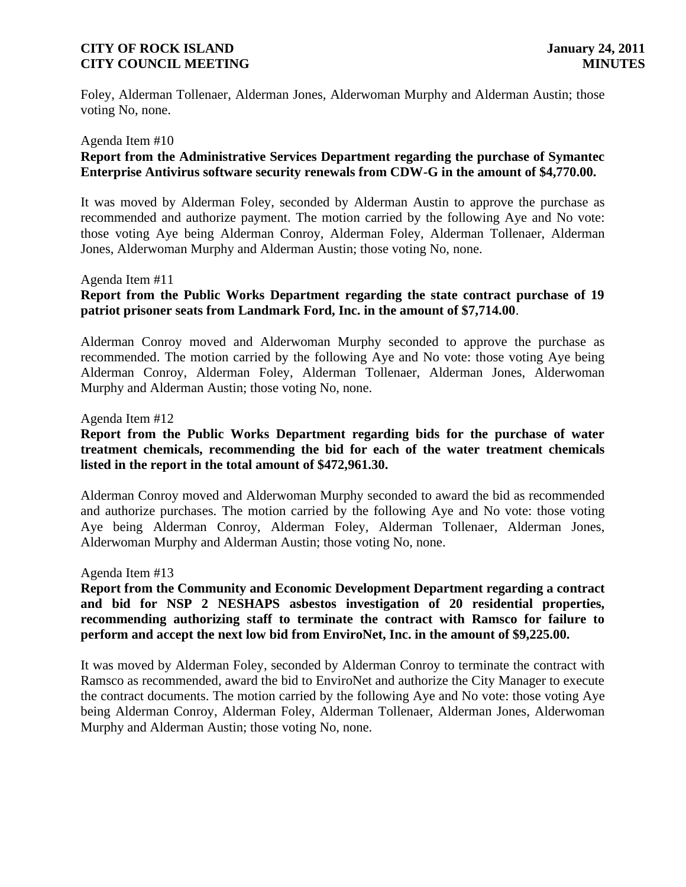Foley, Alderman Tollenaer, Alderman Jones, Alderwoman Murphy and Alderman Austin; those voting No, none.

#### Agenda Item #10

# **Report from the Administrative Services Department regarding the purchase of Symantec Enterprise Antivirus software security renewals from CDW-G in the amount of \$4,770.00.**

It was moved by Alderman Foley, seconded by Alderman Austin to approve the purchase as recommended and authorize payment. The motion carried by the following Aye and No vote: those voting Aye being Alderman Conroy, Alderman Foley, Alderman Tollenaer, Alderman Jones, Alderwoman Murphy and Alderman Austin; those voting No, none.

### Agenda Item #11

### **Report from the Public Works Department regarding the state contract purchase of 19 patriot prisoner seats from Landmark Ford, Inc. in the amount of \$7,714.00**.

Alderman Conroy moved and Alderwoman Murphy seconded to approve the purchase as recommended. The motion carried by the following Aye and No vote: those voting Aye being Alderman Conroy, Alderman Foley, Alderman Tollenaer, Alderman Jones, Alderwoman Murphy and Alderman Austin; those voting No, none.

#### Agenda Item #12

## **Report from the Public Works Department regarding bids for the purchase of water treatment chemicals, recommending the bid for each of the water treatment chemicals listed in the report in the total amount of \$472,961.30.**

Alderman Conroy moved and Alderwoman Murphy seconded to award the bid as recommended and authorize purchases. The motion carried by the following Aye and No vote: those voting Aye being Alderman Conroy, Alderman Foley, Alderman Tollenaer, Alderman Jones, Alderwoman Murphy and Alderman Austin; those voting No, none.

#### Agenda Item #13

**Report from the Community and Economic Development Department regarding a contract and bid for NSP 2 NESHAPS asbestos investigation of 20 residential properties, recommending authorizing staff to terminate the contract with Ramsco for failure to perform and accept the next low bid from EnviroNet, Inc. in the amount of \$9,225.00.**

It was moved by Alderman Foley, seconded by Alderman Conroy to terminate the contract with Ramsco as recommended, award the bid to EnviroNet and authorize the City Manager to execute the contract documents. The motion carried by the following Aye and No vote: those voting Aye being Alderman Conroy, Alderman Foley, Alderman Tollenaer, Alderman Jones, Alderwoman Murphy and Alderman Austin; those voting No, none.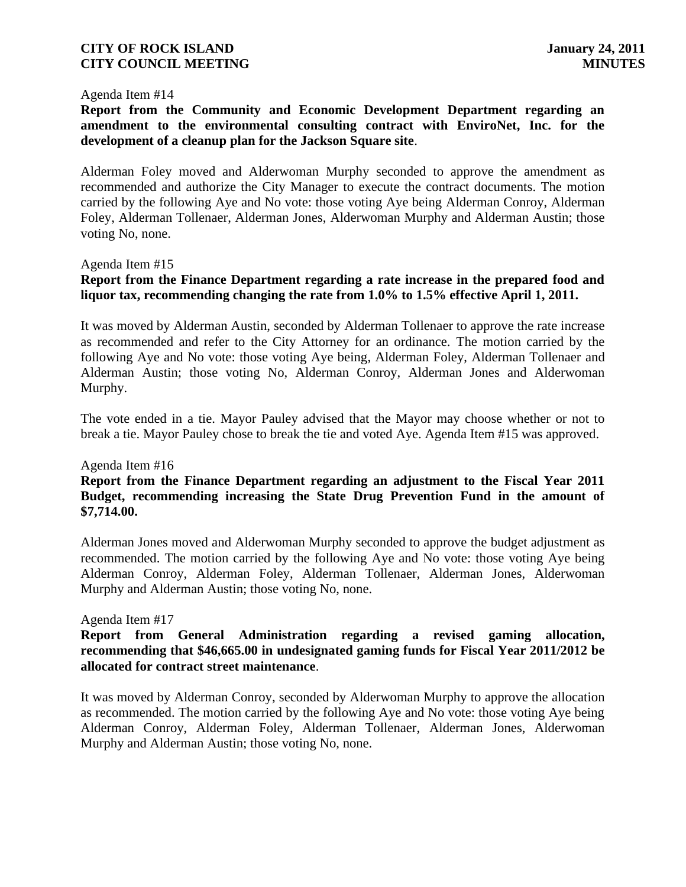#### Agenda Item #14

**Report from the Community and Economic Development Department regarding an amendment to the environmental consulting contract with EnviroNet, Inc. for the development of a cleanup plan for the Jackson Square site**.

Alderman Foley moved and Alderwoman Murphy seconded to approve the amendment as recommended and authorize the City Manager to execute the contract documents. The motion carried by the following Aye and No vote: those voting Aye being Alderman Conroy, Alderman Foley, Alderman Tollenaer, Alderman Jones, Alderwoman Murphy and Alderman Austin; those voting No, none.

Agenda Item #15

# **Report from the Finance Department regarding a rate increase in the prepared food and liquor tax, recommending changing the rate from 1.0% to 1.5% effective April 1, 2011.**

It was moved by Alderman Austin, seconded by Alderman Tollenaer to approve the rate increase as recommended and refer to the City Attorney for an ordinance. The motion carried by the following Aye and No vote: those voting Aye being, Alderman Foley, Alderman Tollenaer and Alderman Austin; those voting No, Alderman Conroy, Alderman Jones and Alderwoman Murphy.

The vote ended in a tie. Mayor Pauley advised that the Mayor may choose whether or not to break a tie. Mayor Pauley chose to break the tie and voted Aye. Agenda Item #15 was approved.

#### Agenda Item #16

# **Report from the Finance Department regarding an adjustment to the Fiscal Year 2011 Budget, recommending increasing the State Drug Prevention Fund in the amount of \$7,714.00.**

Alderman Jones moved and Alderwoman Murphy seconded to approve the budget adjustment as recommended. The motion carried by the following Aye and No vote: those voting Aye being Alderman Conroy, Alderman Foley, Alderman Tollenaer, Alderman Jones, Alderwoman Murphy and Alderman Austin; those voting No, none.

#### Agenda Item #17

# **Report from General Administration regarding a revised gaming allocation, recommending that \$46,665.00 in undesignated gaming funds for Fiscal Year 2011/2012 be allocated for contract street maintenance**.

It was moved by Alderman Conroy, seconded by Alderwoman Murphy to approve the allocation as recommended. The motion carried by the following Aye and No vote: those voting Aye being Alderman Conroy, Alderman Foley, Alderman Tollenaer, Alderman Jones, Alderwoman Murphy and Alderman Austin; those voting No, none.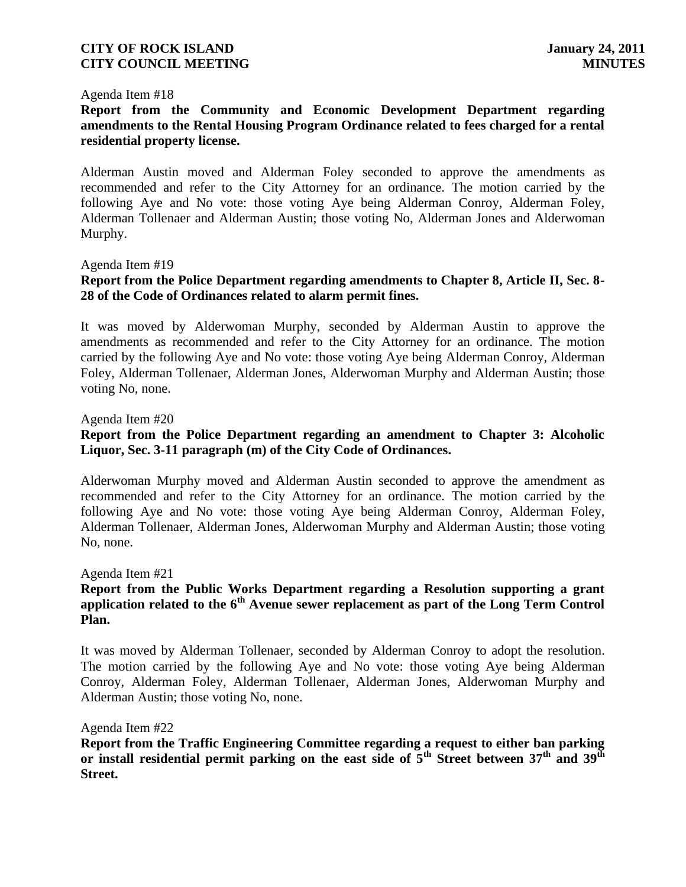#### Agenda Item #18

**Report from the Community and Economic Development Department regarding amendments to the Rental Housing Program Ordinance related to fees charged for a rental residential property license.**

Alderman Austin moved and Alderman Foley seconded to approve the amendments as recommended and refer to the City Attorney for an ordinance. The motion carried by the following Aye and No vote: those voting Aye being Alderman Conroy, Alderman Foley, Alderman Tollenaer and Alderman Austin; those voting No, Alderman Jones and Alderwoman Murphy.

#### Agenda Item #19

### **Report from the Police Department regarding amendments to Chapter 8, Article II, Sec. 8- 28 of the Code of Ordinances related to alarm permit fines.**

It was moved by Alderwoman Murphy, seconded by Alderman Austin to approve the amendments as recommended and refer to the City Attorney for an ordinance. The motion carried by the following Aye and No vote: those voting Aye being Alderman Conroy, Alderman Foley, Alderman Tollenaer, Alderman Jones, Alderwoman Murphy and Alderman Austin; those voting No, none.

#### Agenda Item #20

### **Report from the Police Department regarding an amendment to Chapter 3: Alcoholic Liquor, Sec. 3-11 paragraph (m) of the City Code of Ordinances.**

Alderwoman Murphy moved and Alderman Austin seconded to approve the amendment as recommended and refer to the City Attorney for an ordinance. The motion carried by the following Aye and No vote: those voting Aye being Alderman Conroy, Alderman Foley, Alderman Tollenaer, Alderman Jones, Alderwoman Murphy and Alderman Austin; those voting No, none.

Agenda Item #21

# **Report from the Public Works Department regarding a Resolution supporting a grant application related to the 6th Avenue sewer replacement as part of the Long Term Control Plan.**

It was moved by Alderman Tollenaer, seconded by Alderman Conroy to adopt the resolution. The motion carried by the following Aye and No vote: those voting Aye being Alderman Conroy, Alderman Foley, Alderman Tollenaer, Alderman Jones, Alderwoman Murphy and Alderman Austin; those voting No, none.

Agenda Item #22

**Report from the Traffic Engineering Committee regarding a request to either ban parking**  or install residential permit parking on the east side of  $5<sup>th</sup>$  Street between  $37<sup>th</sup>$  and  $39<sup>th</sup>$ **Street.**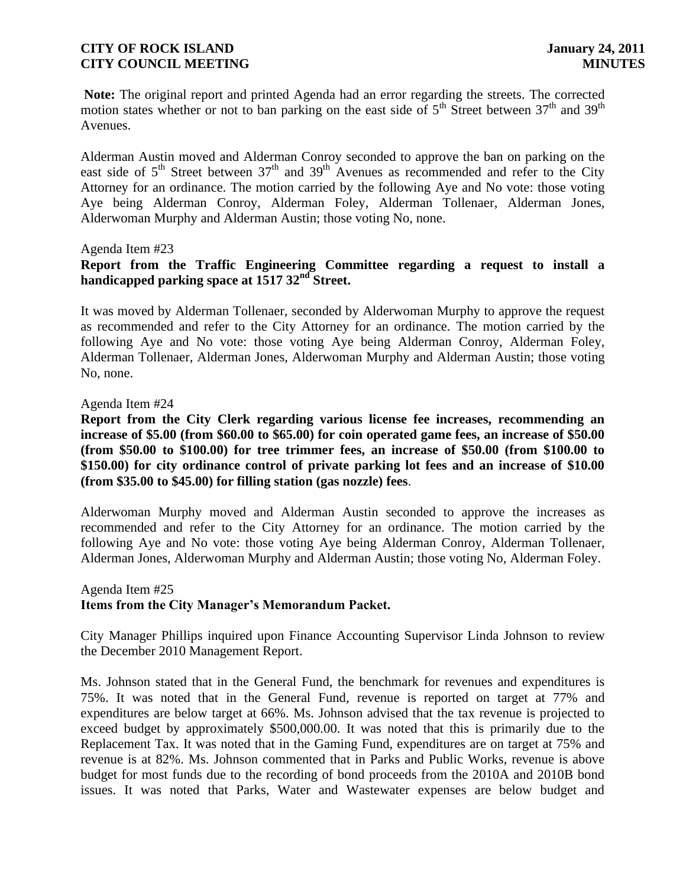**Note:** The original report and printed Agenda had an error regarding the streets. The corrected motion states whether or not to ban parking on the east side of  $5<sup>th</sup>$  Street between 37<sup>th</sup> and 39<sup>th</sup> Avenues.

Alderman Austin moved and Alderman Conroy seconded to approve the ban on parking on the east side of  $5<sup>th</sup>$  Street between  $37<sup>th</sup>$  and  $39<sup>th</sup>$  Avenues as recommended and refer to the City Attorney for an ordinance. The motion carried by the following Aye and No vote: those voting Aye being Alderman Conroy, Alderman Foley, Alderman Tollenaer, Alderman Jones, Alderwoman Murphy and Alderman Austin; those voting No, none.

#### Agenda Item #23

# **Report from the Traffic Engineering Committee regarding a request to install a handicapped parking space at 1517 32nd Street.**

It was moved by Alderman Tollenaer, seconded by Alderwoman Murphy to approve the request as recommended and refer to the City Attorney for an ordinance. The motion carried by the following Aye and No vote: those voting Aye being Alderman Conroy, Alderman Foley, Alderman Tollenaer, Alderman Jones, Alderwoman Murphy and Alderman Austin; those voting No, none.

#### Agenda Item #24

**Report from the City Clerk regarding various license fee increases, recommending an increase of \$5.00 (from \$60.00 to \$65.00) for coin operated game fees, an increase of \$50.00 (from \$50.00 to \$100.00) for tree trimmer fees, an increase of \$50.00 (from \$100.00 to \$150.00) for city ordinance control of private parking lot fees and an increase of \$10.00 (from \$35.00 to \$45.00) for filling station (gas nozzle) fees**.

Alderwoman Murphy moved and Alderman Austin seconded to approve the increases as recommended and refer to the City Attorney for an ordinance. The motion carried by the following Aye and No vote: those voting Aye being Alderman Conroy, Alderman Tollenaer, Alderman Jones, Alderwoman Murphy and Alderman Austin; those voting No, Alderman Foley.

# Agenda Item #25 **Items from the City Manager's Memorandum Packet.**

City Manager Phillips inquired upon Finance Accounting Supervisor Linda Johnson to review the December 2010 Management Report.

Ms. Johnson stated that in the General Fund, the benchmark for revenues and expenditures is 75%. It was noted that in the General Fund, revenue is reported on target at 77% and expenditures are below target at 66%. Ms. Johnson advised that the tax revenue is projected to exceed budget by approximately \$500,000.00. It was noted that this is primarily due to the Replacement Tax. It was noted that in the Gaming Fund, expenditures are on target at 75% and revenue is at 82%. Ms. Johnson commented that in Parks and Public Works, revenue is above budget for most funds due to the recording of bond proceeds from the 2010A and 2010B bond issues. It was noted that Parks, Water and Wastewater expenses are below budget and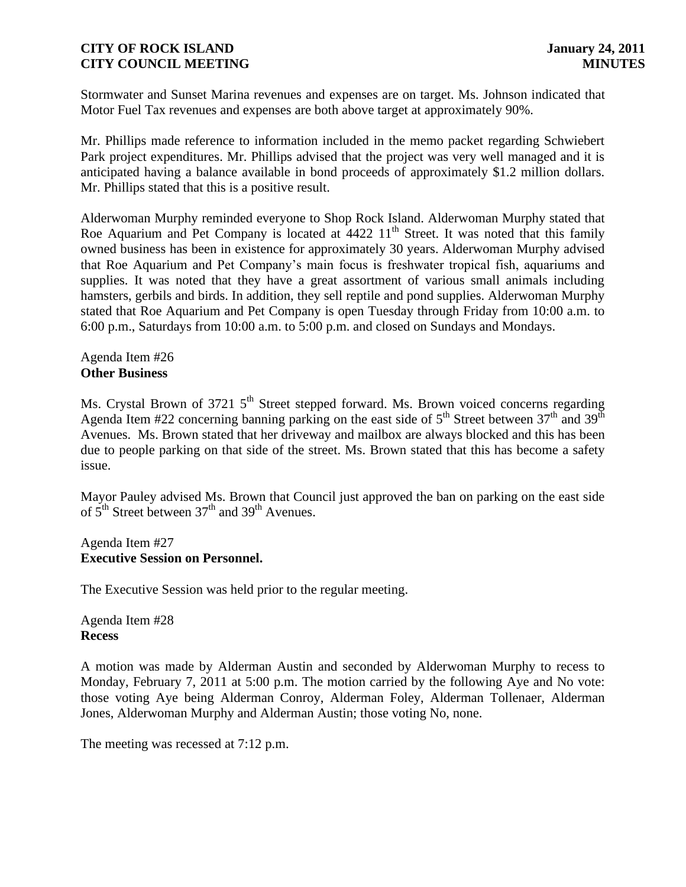Stormwater and Sunset Marina revenues and expenses are on target. Ms. Johnson indicated that Motor Fuel Tax revenues and expenses are both above target at approximately 90%.

Mr. Phillips made reference to information included in the memo packet regarding Schwiebert Park project expenditures. Mr. Phillips advised that the project was very well managed and it is anticipated having a balance available in bond proceeds of approximately \$1.2 million dollars. Mr. Phillips stated that this is a positive result.

Alderwoman Murphy reminded everyone to Shop Rock Island. Alderwoman Murphy stated that Roe Aquarium and Pet Company is located at  $4422 \ 11<sup>th</sup>$  Street. It was noted that this family owned business has been in existence for approximately 30 years. Alderwoman Murphy advised that Roe Aquarium and Pet Company's main focus is freshwater tropical fish, aquariums and supplies. It was noted that they have a great assortment of various small animals including hamsters, gerbils and birds. In addition, they sell reptile and pond supplies. Alderwoman Murphy stated that Roe Aquarium and Pet Company is open Tuesday through Friday from 10:00 a.m. to 6:00 p.m., Saturdays from 10:00 a.m. to 5:00 p.m. and closed on Sundays and Mondays.

#### Agenda Item #26 **Other Business**

Ms. Crystal Brown of 3721  $5<sup>th</sup>$  Street stepped forward. Ms. Brown voiced concerns regarding Agenda Item #22 concerning banning parking on the east side of  $5<sup>th</sup>$  Street between  $37<sup>th</sup>$  and  $39<sup>th</sup>$ Avenues. Ms. Brown stated that her driveway and mailbox are always blocked and this has been due to people parking on that side of the street. Ms. Brown stated that this has become a safety issue.

Mayor Pauley advised Ms. Brown that Council just approved the ban on parking on the east side of 5<sup>th</sup> Street between 37<sup>th</sup> and 39<sup>th</sup> Avenues.

#### Agenda Item #27 **Executive Session on Personnel.**

The Executive Session was held prior to the regular meeting.

Agenda Item #28 **Recess**

A motion was made by Alderman Austin and seconded by Alderwoman Murphy to recess to Monday, February 7, 2011 at 5:00 p.m. The motion carried by the following Aye and No vote: those voting Aye being Alderman Conroy, Alderman Foley, Alderman Tollenaer, Alderman Jones, Alderwoman Murphy and Alderman Austin; those voting No, none.

The meeting was recessed at 7:12 p.m.